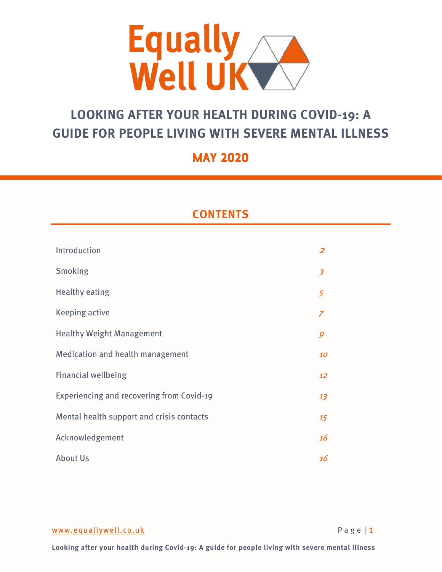

# **LOOKING AFTER YOUR HEALTH DURING COVID-19: A GUIDE FOR PEOPLE LIVING WITH SEVERE MENTAL ILLNESS**

# **MAY 2020**

# **CONTENTS**

| Introduction                                     | $\overline{z}$           |
|--------------------------------------------------|--------------------------|
| Smoking                                          | $\overline{\mathcal{Z}}$ |
| <b>Healthy eating</b>                            | 5                        |
| <b>Keeping active</b>                            | $\overline{Z}$           |
| <b>Healthy Weight Management</b>                 | 9                        |
| <b>Medication and health management</b>          | 10                       |
| <b>Financial wellbeing</b>                       | 12                       |
| <b>Experiencing and recovering from Covid-19</b> | 13                       |
| Mental health support and crisis contacts        | 15                       |
| Acknowledgement                                  | 16                       |
| <b>About Us</b>                                  | 16                       |

[www.equallywell.co.uk](https://centremh-my.sharepoint.com/personal/eb_centreformentalhealth_org_uk/Documents/Equally%20Well/NHSE%20resource%20Covid19/Research/www.equallywell.co.uk) Page | 1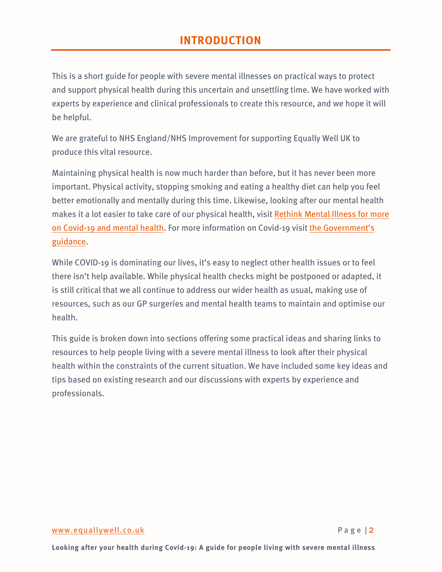# **INTRODUCTION**

This is a short guide for people with severe mental illnesses on practical ways to protect and support physical health during this uncertain and unsettling time. We have worked with experts by experience and clinical professionals to create this resource, and we hope it will be helpful.

We are grateful to NHS England/NHS Improvement for supporting Equally Well UK to produce this vital resource.

Maintaining physical health is now much harder than before, but it has never been more important. Physical activity, stopping smoking and eating a healthy diet can help you feel better emotionally and mentally during this time. Likewise, looking after our mental health makes it a lot easier to take care of our physical health, visit [Rethink Mental Illness for more](https://www.rethink.org/news-and-stories/blogs/2020/03/covid-19-your-questions-answered/)  on [Covid-19 and mental health.](https://www.rethink.org/news-and-stories/blogs/2020/03/covid-19-your-questions-answered/) For more information on Covid-19 [visit the Government's](https://www.gov.uk/government/publications/covid-19-guidance-for-the-public-on-mental-health-and-wellbeing/guidance-for-the-public-on-the-mental-health-and-wellbeing-aspects-of-coronavirus-covid-19)  [guidance.](https://www.gov.uk/government/publications/covid-19-guidance-for-the-public-on-mental-health-and-wellbeing/guidance-for-the-public-on-the-mental-health-and-wellbeing-aspects-of-coronavirus-covid-19)

While COVID-19 is dominating our lives, it's easy to neglect other health issues or to feel there isn't help available. While physical health checks might be postponed or adapted, it is still critical that we all continue to address our wider health as usual, making use of resources, such as our GP surgeries and mental health teams to maintain and optimise our health.

This guide is broken down into sections offering some practical ideas and sharing links to resources to help people living with a severe mental illness to look after their physical health within the constraints of the current situation. We have included some key ideas and tips based on existing research and our discussions with experts by experience and professionals.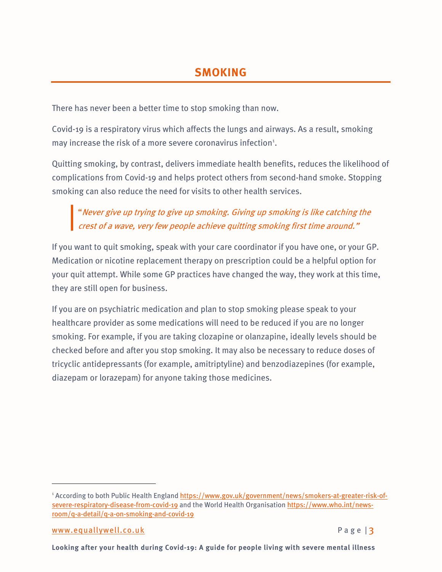There has never been a better time to stop smoking than now.

Covid-19 is a respiratory virus which affects the lungs and airways. As a result, smoking may increase the risk of a more severe coronavirus infection<sup>[1](#page-2-0)</sup>.

Quitting smoking, by contrast, delivers immediate health benefits, reduces the likelihood of complications from Covid-19 and helps protect others from second-hand smoke. Stopping smoking can also reduce the need for visits to other health services.

"Never give up trying to give up smoking. Giving up smoking is like catching the crest of a wave, very few people achieve quitting smoking first time around."

If you want to quit smoking, speak with your care coordinator if you have one, or your GP. Medication or nicotine replacement therapy on prescription could be a helpful option for your quit attempt. While some GP practices have changed the way, they work at this time, they are still open for business.

If you are on psychiatric medication and plan to stop smoking please speak to your healthcare provider as some medications will need to be reduced if you are no longer smoking. For example, if you are taking clozapine or olanzapine, ideally levels should be checked before and after you stop smoking. It may also be necessary to reduce doses of tricyclic antidepressants (for example, amitriptyline) and benzodiazepines (for example, diazepam or lorazepam) for anyone taking those medicines.

<span id="page-2-0"></span><sup>1</sup> According to both Public Health Englan[d https://www.gov.uk/government/news/smokers-at-greater-risk-of](https://www.gov.uk/government/news/smokers-at-greater-risk-of-severe-respiratory-disease-from-covid-19)[severe-respiratory-disease-from-covid-19](https://www.gov.uk/government/news/smokers-at-greater-risk-of-severe-respiratory-disease-from-covid-19) and the World Health Organisation [https://www.who.int/news](https://www.who.int/news-room/q-a-detail/q-a-on-smoking-and-covid-19)[room/q-a-detail/q-a-on-smoking-and-covid-19](https://www.who.int/news-room/q-a-detail/q-a-on-smoking-and-covid-19)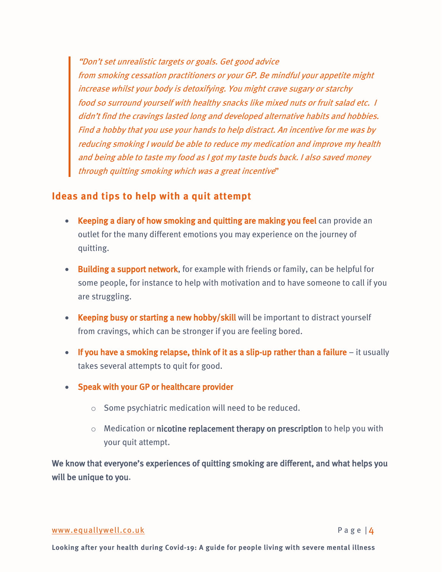"Don't set unrealistic targets or goals. Get good advice from smoking cessation practitioners or your GP. Be mindful your appetite might increase whilst your body is detoxifying. You might crave sugary or starchy food so surround yourself with healthy snacks like mixed nuts or fruit salad etc. I didn't find the cravings lasted long and developed alternative habits and hobbies. Find a hobby that you use your hands to help distract. An incentive for me was by reducing smoking I would be able to reduce my medication and improve my health and being able to taste my food as I got my taste buds back. I also saved money through quitting smoking which was a great incentive"

### **Ideas and tips to help with a quit attempt**

- Keeping a diary of how smoking and quitting are making you feel can provide an outlet for the many different emotions you may experience on the journey of quitting.
- Building a support network, for example with friends or family, can be helpful for some people, for instance to help with motivation and to have someone to call if you are struggling.
- Keeping busy or starting a new hobby/skill will be important to distract yourself from cravings, which can be stronger if you are feeling bored.
- If you have a smoking relapse, think of it as a slip-up rather than a failure it usually takes several attempts to quit for good.
- Speak with your GP or healthcare provider
	- o Some psychiatric medication will need to be reduced.
	- $\circ$  Medication or nicotine replacement therapy on prescription to help you with your quit attempt.

We know that everyone's experiences of quitting smoking are different, and what helps you will be unique to you.

### [www.equallywell.co.uk](https://centremh-my.sharepoint.com/personal/eb_centreformentalhealth_org_uk/Documents/Equally%20Well/NHSE%20resource%20Covid19/Research/www.equallywell.co.uk) Page | 4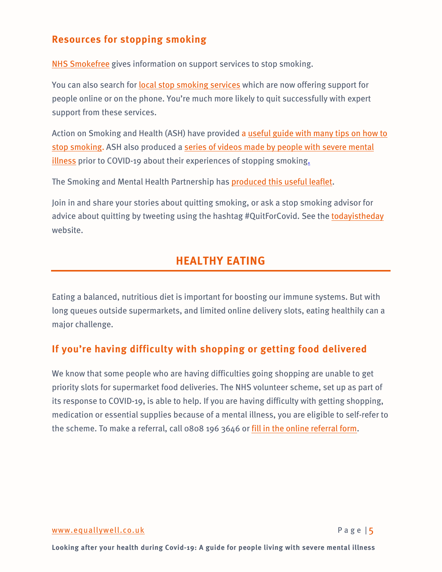## **Resources for stopping smoking**

[NHS Smokefree](https://www.nhs.uk/smokefree/help-and-advice/support) gives information on support services to stop smoking.

You can also search for [local stop smoking services](https://www.nhs.uk/smokefree/help-and-advice/local-support-services-helplines) which are now offering support for people online or on the phone. You're much more likely to quit successfully with expert support from these services.

Action on Smoking and Health (ASH) have provided a useful guide with many tips on how to [stop smoking.](https://ash.org.uk/wp-content/uploads/2020/03/2020StoppingSmoking.pdf%20and%20https:/smokefreeaction.org.uk/wp-content/uploads/2020/03/Leaflet-FINAL-200324.pdf) ASH also produced a [series of videos made by people with severe mental](https://ash.org.uk/smokers-with-mental-health-conditions-videos/)  [illness](https://ash.org.uk/smokers-with-mental-health-conditions-videos/) prior to COVID-19 about their experiences of stopping smoking.

The Smoking and Mental Health Partnership has [produced this useful leaflet.](https://smokefreeaction.org.uk/wp-content/uploads/2020/03/Leaflet-FINAL-200324.pdf)

Join in and share your stories about quitting smoking, or ask a stop smoking advisor for advice about quitting by tweeting using the hashtag #QuitForCovid. See the [todayistheday](https://www.todayistheday.co.uk/%20for%20more%20information%20and%20advice.) website.

# **HEALTHY EATING**

Eating a balanced, nutritious diet is important for boosting our immune systems. But with long queues outside supermarkets, and limited online delivery slots, eating healthily can a major challenge.

## **If you're having difficulty with shopping or getting food delivered**

We know that some people who are having difficulties going shopping are unable to get priority slots for supermarket food deliveries. The NHS volunteer scheme, set up as part of its response to COVID-19, is able to help. If you are having difficulty with getting shopping, medication or essential supplies because of a mental illness, you are eligible to self-refer to the scheme. To make a referral, call 0808 196 3646 or fill in the [online referral form.](https://www.goodsamapp.org/NHSreferral)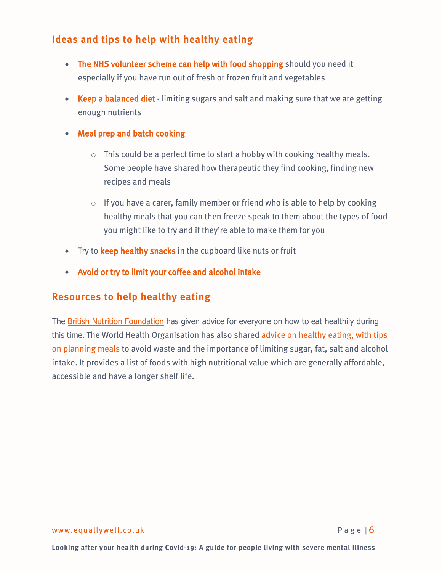## **Ideas and tips to help with healthy eating**

- The NHS volunteer scheme can help with food shopping should you need it especially if you have run out of fresh or frozen fruit and vegetables
- Keep a balanced diet limiting sugars and salt and making sure that we are getting enough nutrients
- Meal prep and batch cooking
	- $\circ$  This could be a perfect time to start a hobby with cooking healthy meals. Some people have shared how therapeutic they find cooking, finding new recipes and meals
	- $\circ$  If you have a carer, family member or friend who is able to help by cooking healthy meals that you can then freeze speak to them about the types of food you might like to try and if they're able to make them for you
- Try to keep healthy snacks in the cupboard like nuts or fruit
- Avoid or try to limit your coffee and alcohol intake

### **Resources to help healthy eating**

The **British Nutrition Foundation** has given advice for everyone on how to eat healthily during this time. The World Health Organisation has also shared [advice on healthy eating, with tips](http://www.euro.who.int/en/health-topics/health-emergencies/coronavirus-covid-19/novel-coronavirus-2019-ncov-technical-guidance/food-and-nutrition-tips-during-self-quarantine?fbclid=IwAR0IxmHZqgX-uwgq0cNTsDM3BdHUogV8EcFbqiY3olALGzBP_hbzW6AwYnA)  [on planning meals](http://www.euro.who.int/en/health-topics/health-emergencies/coronavirus-covid-19/novel-coronavirus-2019-ncov-technical-guidance/food-and-nutrition-tips-during-self-quarantine?fbclid=IwAR0IxmHZqgX-uwgq0cNTsDM3BdHUogV8EcFbqiY3olALGzBP_hbzW6AwYnA) to avoid waste and the importance of limiting sugar, fat, salt and alcohol intake. It provides a list of foods with high nutritional value which are generally affordable, accessible and have a longer shelf life.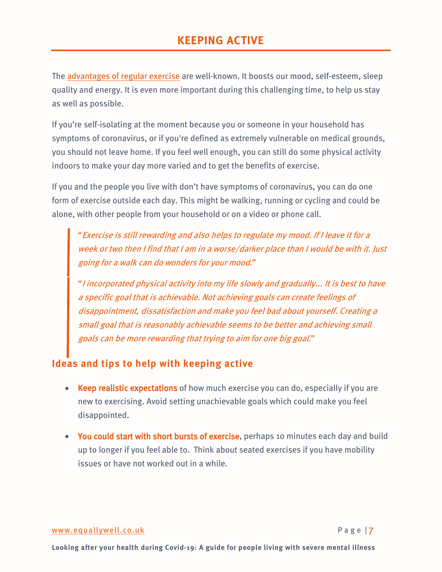# **KEEPING ACTIVE**

The [advantages of regular exercise](https://www.nhs.uk/live-well/exercise/exercise-health-benefits/) are well-known. It boosts our mood, self-esteem, sleep quality and energy. It is even more important during this challenging time, to help us stay as well as possible.

If you're self-isolating at the moment because you or someone in your household has symptoms of coronavirus, or if you're defined as extremely vulnerable on medical grounds, you should not leave home. If you feel well enough, you can still do some physical activity indoors to make your day more varied and to get the benefits of exercise.

If you and the people you live with don't have symptoms of coronavirus, you can do one form of exercise outside each day. This might be walking, running or cycling and could be alone, with other people from your household or on a video or phone call.

"Exercise is still rewarding and also helps to regulate my mood. If I leave it for a week or two then I find that I am in a worse/darker place than I would be with it. Just going for a walk can do wonders for your mood."

"I incorporated physical activity into my life slowly and gradually... It is best to have a specific goal that is achievable. Not achieving goals can create feelings of disappointment, dissatisfaction and make you feel bad about yourself. Creating a small goal that is reasonably achievable seems to be better and achieving small goals can be more rewarding that trying to aim for one big goal."

## **Ideas and tips to help with keeping active**

- Keep realistic expectations of how much exercise you can do, especially if you are new to exercising. Avoid setting unachievable goals which could make you feel disappointed.
- You could start with short bursts of exercise, perhaps 10 minutes each day and build up to longer if you feel able to. Think about seated exercises if you have mobility issues or have not worked out in a while.

### [www.equallywell.co.uk](https://centremh-my.sharepoint.com/personal/eb_centreformentalhealth_org_uk/Documents/Equally%20Well/NHSE%20resource%20Covid19/Research/www.equallywell.co.uk) Page 17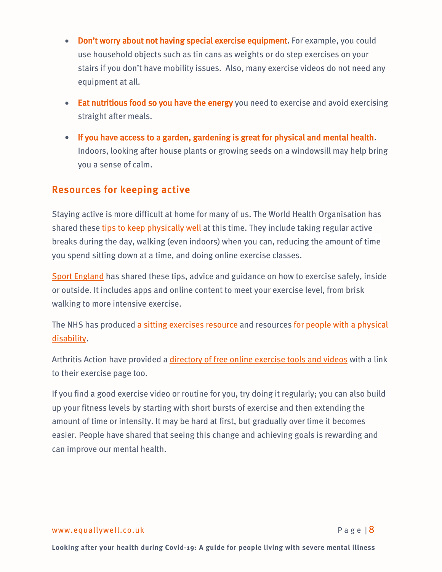- Don't worry about not having special exercise equipment. For example, you could use household objects such as tin cans as weights or do step exercises on your stairs if you don't have mobility issues. Also, many exercise videos do not need any equipment at all.
- Eat nutritious food so you have the energy you need to exercise and avoid exercising straight after meals.
- If you have access to a garden, gardening is great for physical and mental health. Indoors, looking after house plants or growing seeds on a windowsill may help bring you a sense of calm.

### **Resources for keeping active**

Staying active is more difficult at home for many of us. The World Health Organisation has shared these tips to [keep physically well](http://www.euro.who.int/en/health-topics/health-emergencies/coronavirus-covid-19/novel-coronavirus-2019-ncov-technical-guidance/stay-physically-active-during-self-quarantine/_recache?fbclid=IwAR35UEweBOLX1dhgc36lXwK84_WGhO1dZz49Y-VO5gCRjeAOqtY5rQZpnls) at this time. They include taking regular active breaks during the day, walking (even indoors) when you can, reducing the amount of time you spend sitting down at a time, and doing online exercise classes.

[Sport England](https://www.sportengland.org/stayinworkout) has shared these tips, advice and guidance on how to exercise safely, inside or outside. It includes apps and online content to meet your exercise level, from brisk walking to more intensive exercise.

The NHS has produced [a sitting exercises resource](https://www.nhs.uk/live-well/exercise/sitting-exercises/) and resources [for people with a physical](https://centremh-my.sharepoint.com/personal/eb_centreformentalhealth_org_uk/Documents/Equally%20Well/NHSE%20resource%20Covid19/Research/for%20people%20with%20a%20physical%20disability)  [disability.](https://centremh-my.sharepoint.com/personal/eb_centreformentalhealth_org_uk/Documents/Equally%20Well/NHSE%20resource%20Covid19/Research/for%20people%20with%20a%20physical%20disability)

Arthritis Action have provided a [directory of free online exercise tools and videos](https://www.arthritisaction.org.uk/exdirectory/free-virtual-exercise-classes/) with a link to their exercise page too.

If you find a good exercise video or routine for you, try doing it regularly; you can also build up your fitness levels by starting with short bursts of exercise and then extending the amount of time or intensity. It may be hard at first, but gradually over time it becomes easier. People have shared that seeing this change and achieving goals is rewarding and can improve our mental health.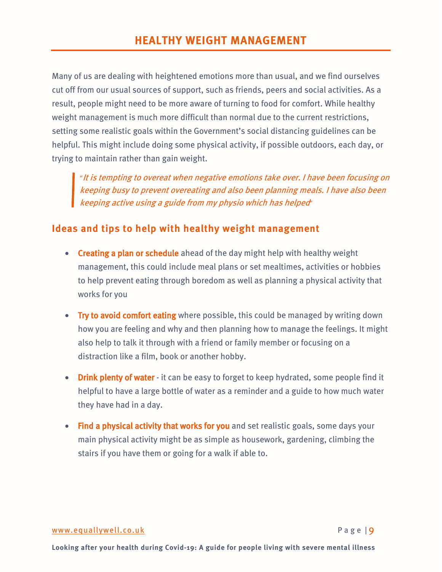Many of us are dealing with heightened emotions more than usual, and we find ourselves cut off from our usual sources of support, such as friends, peers and social activities. As a result, people might need to be more aware of turning to food for comfort. While healthy weight management is much more difficult than normal due to the current restrictions, setting some realistic goals within the Government's social distancing guidelines can be helpful. This might include doing some physical activity, if possible outdoors, each day, or trying to maintain rather than gain weight.

"It is tempting to overeat when negative emotions take over. I have been focusing on keeping busy to prevent overeating and also been planning meals. I have also been keeping active using a guide from my physio which has helped"

## **Ideas and tips to help with healthy weight management**

- Creating a plan or schedule ahead of the day might help with healthy weight management, this could include meal plans or set mealtimes, activities or hobbies to help prevent eating through boredom as well as planning a physical activity that works for you
- Try to avoid comfort eating where possible, this could be managed by writing down how you are feeling and why and then planning how to manage the feelings. It might also help to talk it through with a friend or family member or focusing on a distraction like a film, book or another hobby.
- Drink plenty of water it can be easy to forget to keep hydrated, some people find it helpful to have a large bottle of water as a reminder and a guide to how much water they have had in a day.
- Find a physical activity that works for you and set realistic goals, some days your main physical activity might be as simple as housework, gardening, climbing the stairs if you have them or going for a walk if able to.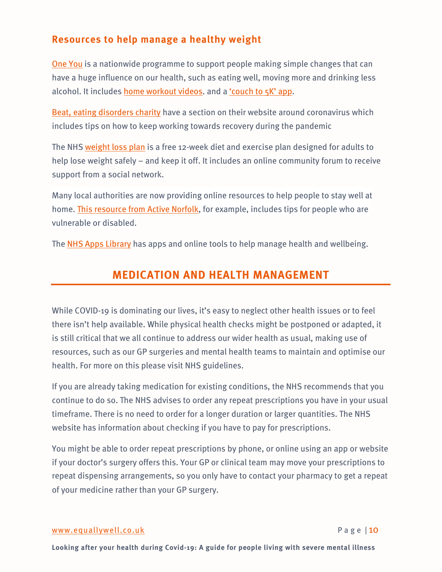## **Resources to help manage a healthy weight**

[One You](https://www.nhs.uk/oneyou/) is a nationwide programme to support people making simple changes that can have a huge influence on our health, such as eating well, moving more and drinking less alcohol. It includes [home workout videos.](https://www.nhs.uk/oneyou/for-your-body/move-more/home-workout-videos/) and [a 'couch to 5K' app.](https://www.nhs.uk/oneyou/apps/#one-youcouch-to-5k)

[Beat, eating disorders charity](https://www.beateatingdisorders.org.uk/coronavirus) have a section on their website around coronavirus which includes tips on how to keep working towards recovery during the pandemic

The NHS [weight loss plan](https://www.nhs.uk/live-well/healthy-weight/start-the-nhs-weight-loss-plan/) is a free 12-week diet and exercise plan designed for adults to help lose weight safely – and keep it off. It includes an online community forum to receive support from a social network.

Many local authorities are now providing online resources to help people to stay well at home. [This resource from Active Norfolk,](https://www.activenorfolk.org/active-at-home) for example, includes tips for people who are vulnerable or disabled.

The [NHS Apps Library](https://www.nhs.uk/appslibrary/) has apps and online tools to help manage health and wellbeing.

# **MEDICATION AND HEALTH MANAGEMENT**

While COVID-19 is dominating our lives, it's easy to neglect other health issues or to feel there isn't help available. While physical health checks might be postponed or adapted, it is still critical that we all continue to address our wider health as usual, making use of resources, such as our GP surgeries and mental health teams to maintain and optimise our health. For more on thi[s please visit NHS guidelines.](https://www.nhs.uk/conditions/coronavirus-covid-19/staying-at-home-to-avoid-getting-coronavirus/how-to-get-medical-help-from-home/)

If you are already taking medication for existing conditions, the NHS recommends that you continue to do so. The NHS advises to order any repeat prescriptions you have in your usual timeframe. There is no need to order for a longer duration or larger quantities. The NHS website has information about [checking if you have to pay for prescriptions.](https://www.nhsbsa.nhs.uk/dont-get-caught-out-penalty-charges/check-you-tick)

You might be able to order repeat prescriptions by phone, or online using an app or website if your doctor's surgery offers this. Your GP or clinical team may move your prescriptions to repeat dispensing arrangements, so you only have to contact your pharmacy to get a repeat of your medicine rather than your GP surgery.

### [www.equallywell.co.uk](https://centremh-my.sharepoint.com/personal/eb_centreformentalhealth_org_uk/Documents/Equally%20Well/NHSE%20resource%20Covid19/Research/www.equallywell.co.uk) Page | 10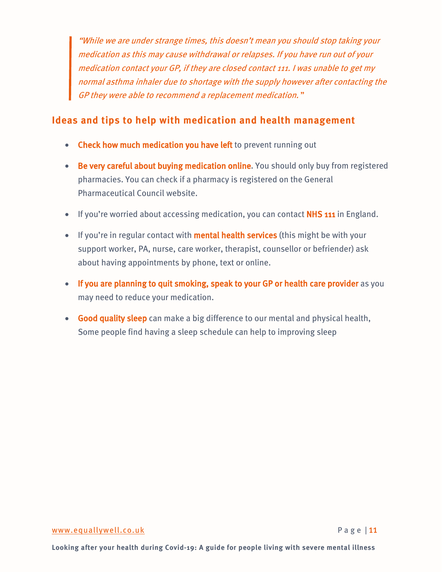"While we are under strange times, this doesn't mean you should stop taking your medication as this may cause withdrawal or relapses. If you have run out of your medication contact your GP, if they are closed contact 111. I was unable to get my normal asthma inhaler due to shortage with the supply however after contacting the GP they were able to recommend a replacement medication. "

### **Ideas and tips to help with medication and health management**

- Check how much medication you have left to prevent running out
- Be very careful about buying medication online. You should only buy from registered pharmacies. You can check if a pharmacy is registered on th[e General](https://www.pharmacyregulation.org/registers/pharmacy)  [Pharmaceutical Council website.](https://www.pharmacyregulation.org/registers/pharmacy)
- If you're worried about accessing medication, you can contact NHS 111 in England.
- If you're in regular contact with **mental health services** (this might be with your support worker, PA, nurse, care worker, therapist, counsellor or befriender) ask about having appointments by phone, text or online.
- If you are planning to quit smoking, speak to your GP or health care provider as you may need to reduce your medication.
- Good quality sleep can make a big difference to our mental and physical health, Some people find having a sleep schedule can help to improving sleep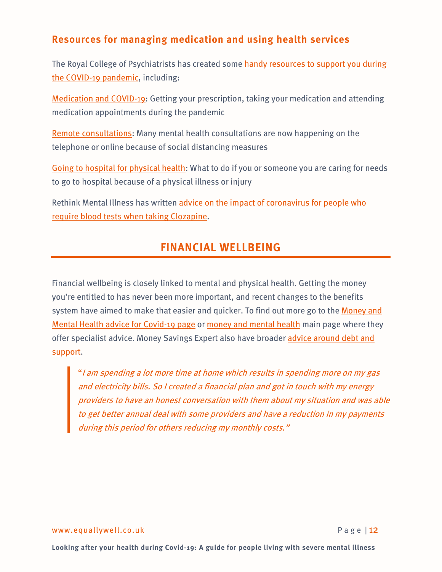## **Resources for managing medication and using health services**

The Royal College of Psychiatrists has created some [handy resources to support you during](https://www.rcpsych.ac.uk/about-us/responding-to-covid-19/covid-19-and-mental-health)  [the COVID-19 pandemic,](https://www.rcpsych.ac.uk/about-us/responding-to-covid-19/covid-19-and-mental-health) including:

[Medication and COVID-19:](https://www.rcpsych.ac.uk/mental-health/treatments-and-wellbeing/covid-19-and-medication-for-mental-health) Getting your prescription, taking your medication and attending medication appointments during the pandemic

[Remote consultations:](https://www.rcpsych.ac.uk/mental-health/treatments-and-wellbeing/remote-consultations-and-covid-19) Many mental health consultations are now happening on the telephone or online because of social distancing measures

[Going to hospital for physical health:](https://www.rcpsych.ac.uk/mental-health/treatments-and-wellbeing/attending-hospital-and-covid-19) What to do if you or someone you are caring for needs to go to hospital because of a physical illness or injury

Rethink Mental Illness has written [advice on the impact of coronavirus for people who](https://www.rethink.org/news-and-stories/blogs/2020/03/coronavirus-and-clozapine/)  [require blood tests when taking Clozapine.](https://www.rethink.org/news-and-stories/blogs/2020/03/coronavirus-and-clozapine/)

## **FINANCIAL WELLBEING**

Financial wellbeing is closely linked to mental and physical health. Getting the money you're entitled to has never been more important, and recent changes to the benefits system have aimed to make that easier and quicker. To find out more go to the [Money and](https://www.mentalhealthandmoneyadvice.org/en/top-tips/mental-health-and-money-advice-for-covid-19-outbreak/)  [Mental Health advice for Covid-19 page](https://www.mentalhealthandmoneyadvice.org/en/top-tips/mental-health-and-money-advice-for-covid-19-outbreak/) or [money and mental health](https://www.mentalhealthandmoneyadvice.org/en/) main page where they offer specialist advice. Money Savings Expert also have broader [advice around debt and](https://www.moneysavingexpert.com/loans/debt-help-plan/)  [support.](https://www.moneysavingexpert.com/loans/debt-help-plan/)

"<sup>I</sup> am spending a lot more time at home which results in spending more on my gas and electricity bills. So I created a financial plan and got in touch with my energy providers to have an honest conversation with them about my situation and was able to get better annual deal with some providers and have a reduction in my payments during this period for others reducing my monthly costs."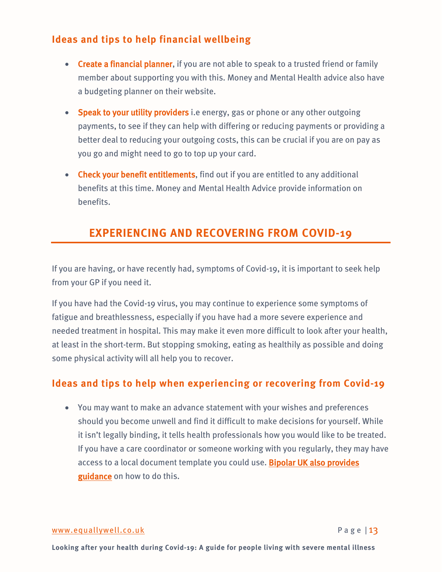## **Ideas and tips to help financial wellbeing**

- Create a financial planner, if you are not able to speak to a trusted friend or family member about supporting you with this. Money and Mental Health advice also have a budgeting planner on their website.
- Speak to your utility providers i.e energy, gas or phone or any other outgoing payments, to see if they can help with differing or reducing payments or providing a better deal to reducing your outgoing costs, this can be crucial if you are on pay as you go and might need to go to top up your card.
- Check your benefit entitlements, find out if you are entitled to any additional benefits at this time. Money and Mental Health Advice provide information on benefits.

# **EXPERIENCING AND RECOVERING FROM COVID-19**

If you are having, or have recently had, symptoms of Covid-19, it is important to seek help from your GP if you need it.

If you have had the Covid-19 virus, you may continue to experience some symptoms of fatigue and breathlessness, especially if you have had a more severe experience and needed treatment in hospital. This may make it even more difficult to look after your health, at least in the short-term. But stopping smoking, eating as healthily as possible and doing some physical activity will all help you to recover.

## **Ideas and tips to help when experiencing or recovering from Covid-19**

• You may want to make an advance statement with your wishes and preferences should you become unwell and find it difficult to make decisions for yourself. While it isn't legally binding, it tells health professionals how you would like to be treated. If you have a care coordinator or someone working with you regularly, they may have access to a local document template you could use. Bipolar UK also provides [guidance](https://www.bipolaruk.org/Blog/writing-a-mental-health-advance-statement-in-case-you-become-unwell-during-coronavirus) on how to do this.

### [www.equallywell.co.uk](https://centremh-my.sharepoint.com/personal/eb_centreformentalhealth_org_uk/Documents/Equally%20Well/NHSE%20resource%20Covid19/Research/www.equallywell.co.uk) Page | 13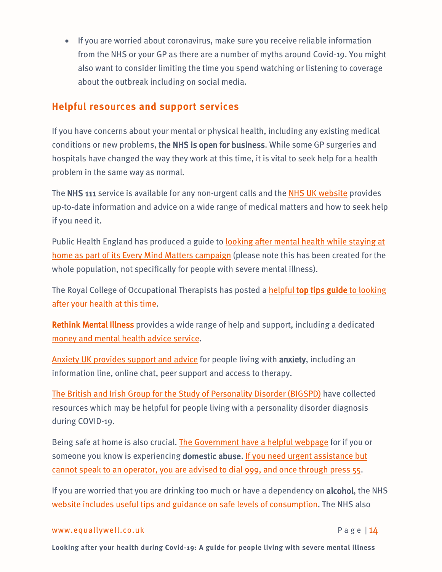• If you are worried about coronavirus, make sure you receive reliable information from the NHS or your GP as there are a number of myths around Covid-19. You might also want to consider limiting the time you spend watching or listening to coverage about the outbreak including on social media.

### **Helpful resources and support services**

If you have concerns about your mental or physical health, including any existing medical conditions or new problems, the NHS is open for business. While some GP surgeries and hospitals have changed the way they work at this time, it is vital to seek help for a health problem in the same way as normal.

The NHS 111 service is available for any non-urgent calls and th[e NHS UK website](https://www.nhs.uk/) provides up-to-date information and advice on a wide range of medical matters and how to seek help if you need it.

Public Health England has produced a guide to **looking after mental health while staying at** [home as part of its Every Mind Matters campaign](https://www.nhs.uk/oneyou/every-mind-matters/coronavirus-covid-19-staying-at-home-tips/) (please note this has been created for the whole population, not specifically for people with severe mental illness).

The Royal College of Occupational Therapists has posted a [helpful top tips guide](https://www.rcot.co.uk/staying-well-when-social-distancing) to looking [after your health at this time.](https://www.rcot.co.uk/staying-well-when-social-distancing)

[Rethink Mental Illness](https://www.rethink.org/) provides a wide range of help and support, including a dedicated [money and mental health advice service.](https://www.mentalhealthandmoneyadvice.org/en/)

[Anxiety UK provides support and advice](https://www.anxietyuk.org.uk/coronanxiety-support-resources/) for people living with anxiety, including an information line, online chat, peer support and access to therapy.

[The British and Irish Group for the Study of Personality Disorder \(BIGSPD\)](https://bigspd.org.uk/key-guidance-for-all/) have collected resources which may be helpful for people living with a personality disorder diagnosis during COVID-19.

Being safe at home is also crucial. [The Government have a helpful webpage](https://www.gov.uk/government/publications/coronavirus-covid-19-and-domestic-abuse/coronavirus-covid-19-support-for-victims-of-domestic-abuse) for if you or someone you know is experiencing domestic abuse. If you need urgent assistance but [cannot speak to an operator, you are advised to dial 999, and once through press 55.](https://www.policeconduct.gov.uk/sites/default/files/Documents/research-learning/Silent_solution_guide.pdf)

If you are worried that you are drinking too much or have a dependency on alcohol, the NHS [website includes useful tips and guidance on safe levels of consumption.](https://www.nhs.uk/conditions/alcohol-misuse/) The NHS also

### [www.equallywell.co.uk](https://centremh-my.sharepoint.com/personal/eb_centreformentalhealth_org_uk/Documents/Equally%20Well/NHSE%20resource%20Covid19/Research/www.equallywell.co.uk) Page | 14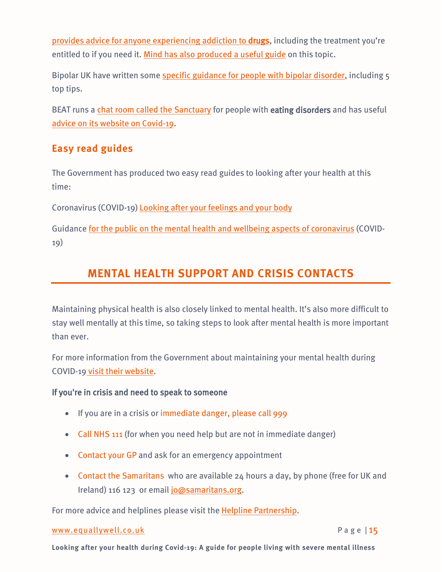[provides advice for anyone experiencing addiction to drugs,](https://www.nhs.uk/live-well/healthy-body/drug-addiction-getting-help/) including the treatment you're entitled to if you need it. [Mind has also produced a useful guide](https://www.mind.org.uk/information-support/guides-to-support-and-services/addiction-and-dependency/addiction-and-dependency-resources/) on this topic.

Bipolar UK have written som[e specific guidance for people with bipolar disorder,](https://www.bipolaruk.org/Handlers/Download.ashx?IDMF=9ff8f7d2-ea3e-41fc-b96d-81c691af409b) including 5 top tips.

BEAT runs a [chat room called the Sanctuary](https://www.beateatingdisorders.org.uk/sanctuary) for people with eating disorders and has useful [advice on its website on Covid-19.](https://www.beateatingdisorders.org.uk/coronavirus)

## **Easy read guides**

The Government has produced two easy read guides to looking after your health at this time:

Coronavirus (COVID-19) [Looking after your feelings and your body](https://assets.publishing.service.gov.uk/government/uploads/system/uploads/attachment_data/file/876996/Easy_read_looking_after_your_feelings_and_body.pdf)

Guidance <u>for the public on the mental health and wellbeing aspects of coronavirus</u> (COVID-<br>19)

# **MENTAL HEALTH SUPPORT AND CRISIS CONTACTS**

Maintaining physical health is also closely linked to mental health. It's also more difficult to stay well mentally at this time, so taking steps to look after mental health is more important than ever.

For more information from the Government about maintaining your mental health during COVID-19 [visit their website.](https://www.gov.uk/government/publications/covid-19-guidance-for-the-public-on-mental-health-and-wellbeing/guidance-for-the-public-on-the-mental-health-and-wellbeing-aspects-of-coronavirus-covid-19)

### If you're in crisis and need to speak to someone

- If you are in a crisis or immediate danger, please call 999
- Call NHS 111 (for when you need help but are not in immediate danger)
- Contact your GP and ask for an emergency appointment
- Contact the [Samaritans](http://www.samaritans.org/) who are available 24 hours a day, by phone (free for UK and Ireland) 116 123 or email [jo@samaritans.org.](mailto:jo@samaritans.org)

For more advice and helplines please visit the [Helpline Partnership.](https://helplines.org/helplines/)

### [www.equallywell.co.uk](https://centremh-my.sharepoint.com/personal/eb_centreformentalhealth_org_uk/Documents/Equally%20Well/NHSE%20resource%20Covid19/Research/www.equallywell.co.uk) Page | 15